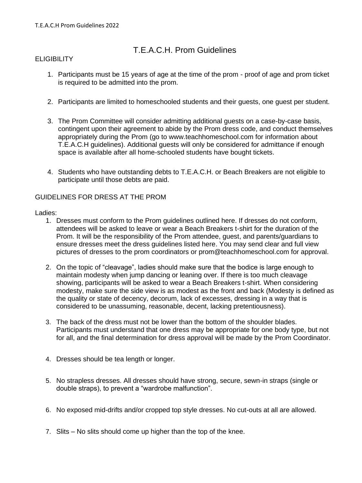## T.E.A.C.H. Prom Guidelines

## **ELIGIBILITY**

- 1. Participants must be 15 years of age at the time of the prom proof of age and prom ticket is required to be admitted into the prom.
- 2. Participants are limited to homeschooled students and their guests, one guest per student.
- 3. The Prom Committee will consider admitting additional guests on a case-by-case basis, contingent upon their agreement to abide by the Prom dress code, and conduct themselves appropriately during the Prom (go to www.teachhomeschool.com for information about T.E.A.C.H guidelines). Additional guests will only be considered for admittance if enough space is available after all home-schooled students have bought tickets.
- 4. Students who have outstanding debts to T.E.A.C.H. or Beach Breakers are not eligible to participate until those debts are paid.

## GUIDELINES FOR DRESS AT THE PROM

## Ladies:

- 1. Dresses must conform to the Prom guidelines outlined here. If dresses do not conform, attendees will be asked to leave or wear a Beach Breakers t-shirt for the duration of the Prom. It will be the responsibility of the Prom attendee, guest, and parents/guardians to ensure dresses meet the dress guidelines listed here. You may send clear and full view pictures of dresses to the prom coordinators or prom@teachhomeschool.com for approval.
- 2. On the topic of "cleavage", ladies should make sure that the bodice is large enough to maintain modesty when jump dancing or leaning over. If there is too much cleavage showing, participants will be asked to wear a Beach Breakers t-shirt. When considering modesty, make sure the side view is as modest as the front and back (Modesty is defined as the quality or state of decency, decorum, lack of excesses, dressing in a way that is considered to be unassuming, reasonable, decent, lacking pretentiousness).
- 3. The back of the dress must not be lower than the bottom of the shoulder blades. Participants must understand that one dress may be appropriate for one body type, but not for all, and the final determination for dress approval will be made by the Prom Coordinator.
- 4. Dresses should be tea length or longer.
- 5. No strapless dresses. All dresses should have strong, secure, sewn-in straps (single or double straps), to prevent a "wardrobe malfunction".
- 6. No exposed mid-drifts and/or cropped top style dresses. No cut-outs at all are allowed.
- 7. Slits No slits should come up higher than the top of the knee.